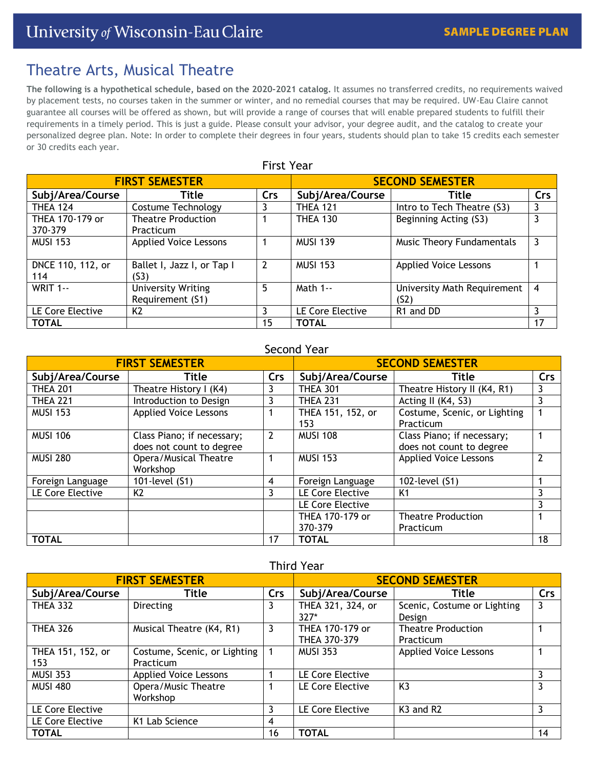# Theatre Arts, Musical Theatre

**The following is a hypothetical schedule, based on the 2020-2021 catalog.** It assumes no transferred credits, no requirements waived by placement tests, no courses taken in the summer or winter, and no remedial courses that may be required. UW-Eau Claire cannot guarantee all courses will be offered as shown, but will provide a range of courses that will enable prepared students to fulfill their requirements in a timely period. This is just a guide. Please consult your advisor, your degree audit, and the catalog to create your personalized degree plan. Note: In order to complete their degrees in four years, students should plan to take 15 credits each semester or 30 credits each year.

| <b>First Year</b>        |                                               |     |                        |                                                  |     |  |
|--------------------------|-----------------------------------------------|-----|------------------------|--------------------------------------------------|-----|--|
| <b>FIRST SEMESTER</b>    |                                               |     | <b>SECOND SEMESTER</b> |                                                  |     |  |
| Subj/Area/Course         | Title                                         | Crs | Subj/Area/Course       | Title                                            | Crs |  |
| <b>THEA 124</b>          | Costume Technology                            |     | <b>THEA 121</b>        | Intro to Tech Theatre (S3)                       | 3   |  |
| THEA 170-179 or          | <b>Theatre Production</b>                     |     | <b>THEA 130</b>        | Beginning Acting (S3)                            | 3   |  |
| 370-379                  | Practicum                                     |     |                        |                                                  |     |  |
| <b>MUSI 153</b>          | <b>Applied Voice Lessons</b>                  |     | <b>MUSI 139</b>        | Music Theory Fundamentals                        | 3   |  |
| DNCE 110, 112, or<br>114 | Ballet I, Jazz I, or Tap I<br>(S3)            | 2   | <b>MUSI 153</b>        | <b>Applied Voice Lessons</b>                     |     |  |
| <b>WRIT 1--</b>          | <b>University Writing</b><br>Requirement (S1) | 5   | Math 1--               | University Math Requirement<br>(S <sub>2</sub> ) | 4   |  |
| LE Core Elective         | K <sub>2</sub>                                | 3   | LE Core Elective       | R <sub>1</sub> and D <sub>D</sub>                | 3   |  |
| <b>TOTAL</b>             |                                               | 15  | <b>TOTAL</b>           |                                                  | 17  |  |

## Second Year

| <b>FIRST SEMESTER</b> |                              |            | <b>SECOND SEMESTER</b> |                              |     |
|-----------------------|------------------------------|------------|------------------------|------------------------------|-----|
| Subj/Area/Course      | Title                        | <b>Crs</b> | Subj/Area/Course       | Title                        | Crs |
| <b>THEA 201</b>       | Theatre History I (K4)       | 3          | <b>THEA 301</b>        | Theatre History II (K4, R1)  | 3   |
| <b>THEA 221</b>       | Introduction to Design       | 3          | <b>THEA 231</b>        | Acting II (K4, S3)           | 3   |
| <b>MUSI 153</b>       | <b>Applied Voice Lessons</b> |            | THEA 151, 152, or      | Costume, Scenic, or Lighting |     |
|                       |                              |            | 153                    | Practicum                    |     |
| <b>MUSI 106</b>       | Class Piano; if necessary;   | 2          | <b>MUSI 108</b>        | Class Piano; if necessary;   |     |
|                       | does not count to degree     |            |                        | does not count to degree     |     |
| <b>MUSI 280</b>       | Opera/Musical Theatre        |            | <b>MUSI 153</b>        | <b>Applied Voice Lessons</b> | 2   |
|                       | Workshop                     |            |                        |                              |     |
| Foreign Language      | 101-level (S1)               | 4          | Foreign Language       | 102-level (S1)               |     |
| LE Core Elective      | K <sub>2</sub>               | 3          | LE Core Elective       | K <sub>1</sub>               | 3   |
|                       |                              |            | LE Core Elective       |                              | 3   |
|                       |                              |            | THEA 170-179 or        | <b>Theatre Production</b>    |     |
|                       |                              |            | 370-379                | Practicum                    |     |
| <b>TOTAL</b>          |                              | 17         | <b>TOTAL</b>           |                              | 18  |

## Third Year

| <b>FIRST SEMESTER</b> |                              |            | <b>SECOND SEMESTER</b> |                                   |     |
|-----------------------|------------------------------|------------|------------------------|-----------------------------------|-----|
| Subj/Area/Course      | Title                        | <b>Crs</b> | Subj/Area/Course       | Title                             | Crs |
| <b>THEA 332</b>       | <b>Directing</b>             | 3          | THEA 321, 324, or      | Scenic, Costume or Lighting       | 3   |
|                       |                              |            | $327*$                 | Design                            |     |
| <b>THEA 326</b>       | Musical Theatre (K4, R1)     | 3          | THEA 170-179 or        | <b>Theatre Production</b>         |     |
|                       |                              |            | THEA 370-379           | Practicum                         |     |
| THEA 151, 152, or     | Costume, Scenic, or Lighting |            | <b>MUSI 353</b>        | <b>Applied Voice Lessons</b>      |     |
| 153                   | Practicum                    |            |                        |                                   |     |
| <b>MUSI 353</b>       | <b>Applied Voice Lessons</b> |            | LE Core Elective       |                                   | 3   |
| <b>MUSI 480</b>       | Opera/Music Theatre          |            | LE Core Elective       | K <sub>3</sub>                    | 3   |
|                       | Workshop                     |            |                        |                                   |     |
| LE Core Elective      |                              |            | LE Core Elective       | K <sub>3</sub> and R <sub>2</sub> | 3   |
| LE Core Elective      | K <sub>1</sub> Lab Science   | 4          |                        |                                   |     |
| <b>TOTAL</b>          |                              | 16         | <b>TOTAL</b>           |                                   | 14  |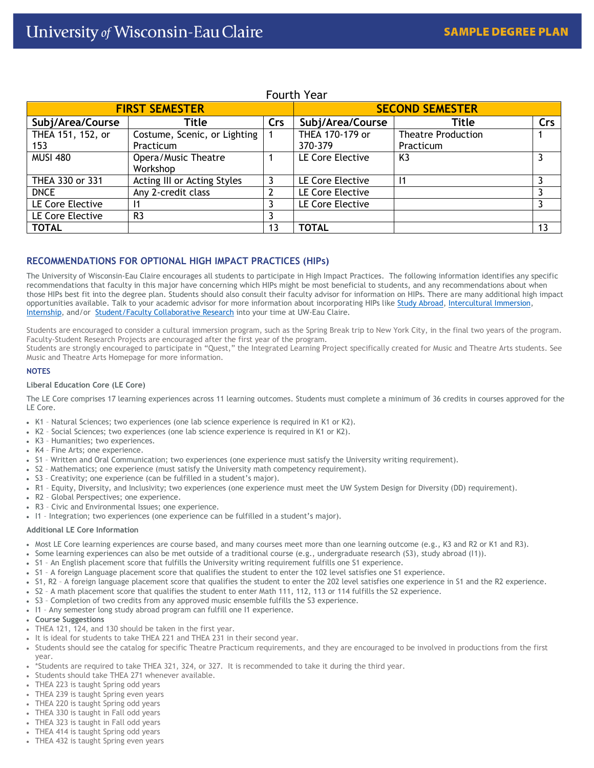## Fourth Year

| <b>FIRST SEMESTER</b> |                              |     | <b>SECOND SEMESTER</b> |                           |     |
|-----------------------|------------------------------|-----|------------------------|---------------------------|-----|
| Subj/Area/Course      | Title                        | Crs | Subj/Area/Course       | Title                     | Crs |
| THEA 151, 152, or     | Costume, Scenic, or Lighting |     | THEA 170-179 or        | <b>Theatre Production</b> |     |
| 153                   | Practicum                    |     | 370-379                | Practicum                 |     |
| <b>MUSI 480</b>       | Opera/Music Theatre          |     | LE Core Elective       | K <sub>3</sub>            |     |
|                       | Workshop                     |     |                        |                           |     |
| THEA 330 or 331       | Acting III or Acting Styles  |     | LE Core Elective       |                           | 3   |
| <b>DNCE</b>           | Any 2-credit class           |     | LE Core Elective       |                           |     |
| LE Core Elective      |                              |     | LE Core Elective       |                           |     |
| LE Core Elective      | R <sub>3</sub>               |     |                        |                           |     |
| <b>TOTAL</b>          |                              | 13  | <b>TOTAL</b>           |                           | 13  |

## **RECOMMENDATIONS FOR OPTIONAL HIGH IMPACT PRACTICES (HIPs)**

The University of Wisconsin-Eau Claire encourages all students to participate in High Impact Practices. The following information identifies any specific recommendations that faculty in this major have concerning which HIPs might be most beneficial to students, and any recommendations about when those HIPs best fit into the degree plan. Students should also consult their faculty advisor for information on HIPs. There are many additional high impact opportunities available. Talk to your academic advisor for more information about incorporating HIPs lik[e Study Abroad,](https://studyabroad.apps.uwec.edu/) [Intercultural Immersion,](https://www.uwec.edu/immersion/) [Internship,](https://www.uwec.edu/career-services/info-students/internships/) and/or [Student/Faculty Collaborative Research](https://www.uwec.edu/orsp/students/student-faculty-collaborative-research-guide/) into your time at UW-Eau Claire.

Students are encouraged to consider a cultural immersion program, such as the Spring Break trip to New York City, in the final two years of the program. Faculty-Student Research Projects are encouraged after the first year of the program.

Students are strongly encouraged to participate in "Quest," the Integrated Learning Project specifically created for Music and Theatre Arts students. See Music and Theatre Arts Homepage for more information.

#### **NOTES**

#### **Liberal Education Core (LE Core)**

The LE Core comprises 17 learning experiences across 11 learning outcomes. Students must complete a minimum of 36 credits in courses approved for the LE Core.

- K1 Natural Sciences; two experiences (one lab science experience is required in K1 or K2).
- K2 Social Sciences; two experiences (one lab science experience is required in K1 or K2).
- K3 Humanities; two experiences.
- K4 Fine Arts; one experience.
- S1 Written and Oral Communication; two experiences (one experience must satisfy the University writing requirement).
- S2 Mathematics; one experience (must satisfy the University math competency requirement).
- S3 Creativity; one experience (can be fulfilled in a student's major).
- R1 Equity, Diversity, and Inclusivity; two experiences (one experience must meet the UW System Design for Diversity (DD) requirement).
- R2 Global Perspectives; one experience.
- R3 Civic and Environmental Issues; one experience.
- I1 Integration; two experiences (one experience can be fulfilled in a student's major).

#### **Additional LE Core Information**

- Most LE Core learning experiences are course based, and many courses meet more than one learning outcome (e.g., K3 and R2 or K1 and R3).
- Some learning experiences can also be met outside of a traditional course (e.g., undergraduate research (S3), study abroad (I1)).
- S1 An English placement score that fulfills the University writing requirement fulfills one S1 experience.
- S1 A foreign Language placement score that qualifies the student to enter the 102 level satisfies one S1 experience.
- S1, R2 A foreign language placement score that qualifies the student to enter the 202 level satisfies one experience in S1 and the R2 experience.
- S2 A math placement score that qualifies the student to enter Math 111, 112, 113 or 114 fulfills the S2 experience.
- S3 Completion of two credits from any approved music ensemble fulfills the S3 experience.
- I1 Any semester long study abroad program can fulfill one I1 experience.
- **Course Suggestions**
- THEA 121, 124, and 130 should be taken in the first year.
- It is ideal for students to take THEA 221 and THEA 231 in their second year.
- Students should see the catalog for specific Theatre Practicum requirements, and they are encouraged to be involved in productions from the first year.
- \*Students are required to take THEA 321, 324, or 327. It is recommended to take it during the third year.
- Students should take THEA 271 whenever available.
- THEA 223 is taught Spring odd years
- THEA 239 is taught Spring even years
- THEA 220 is taught Spring odd years
- THEA 330 is taught in Fall odd years
- THEA 323 is taught in Fall odd years
- THEA 414 is taught Spring odd years
- THEA 432 is taught Spring even years